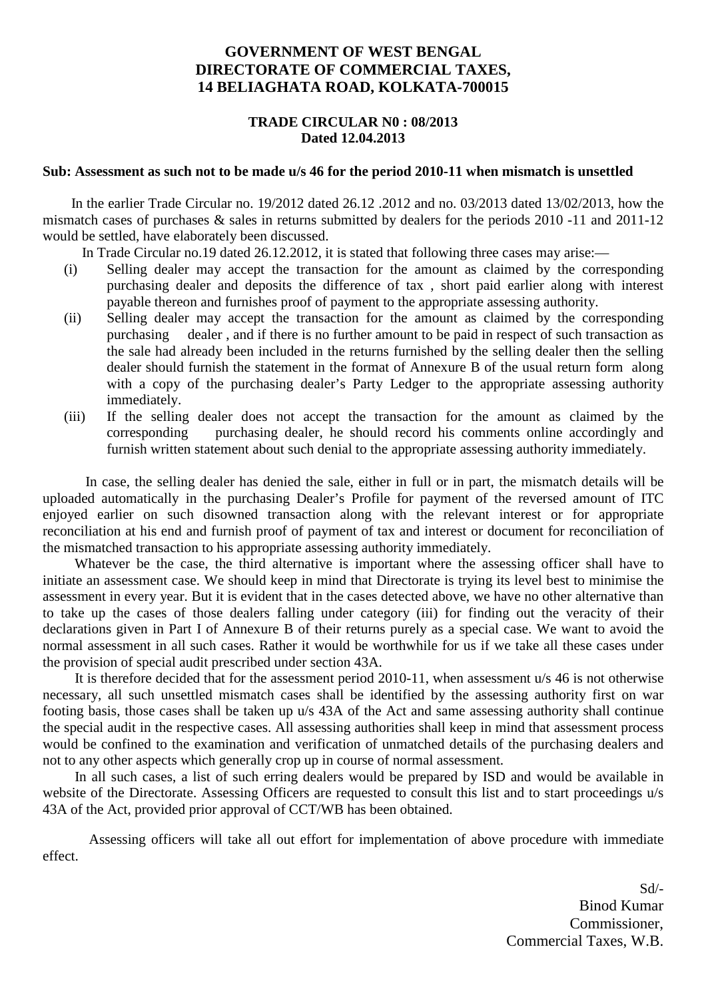## **GOVERNMENT OF WEST BENGAL DIRECTORATE OF COMMERCIAL TAXES, 14 BELIAGHATA ROAD, KOLKATA-700015**

## **TRADE CIRCULAR N0 : 08/2013 Dated 12.04.2013**

## **Sub: Assessment as such not to be made u/s 46 for the period 2010-11 when mismatch is unsettled**

 In the earlier Trade Circular no. 19/2012 dated 26.12 .2012 and no. 03/2013 dated 13/02/2013, how the mismatch cases of purchases & sales in returns submitted by dealers for the periods 2010 -11 and 2011-12 would be settled, have elaborately been discussed.

In Trade Circular no.19 dated 26.12.2012, it is stated that following three cases may arise:—

- (i) Selling dealer may accept the transaction for the amount as claimed by the corresponding purchasing dealer and deposits the difference of tax , short paid earlier along with interest payable thereon and furnishes proof of payment to the appropriate assessing authority.
- (ii) Selling dealer may accept the transaction for the amount as claimed by the corresponding purchasing dealer , and if there is no further amount to be paid in respect of such transaction as the sale had already been included in the returns furnished by the selling dealer then the selling dealer should furnish the statement in the format of Annexure B of the usual return form along with a copy of the purchasing dealer's Party Ledger to the appropriate assessing authority immediately.
- (iii) If the selling dealer does not accept the transaction for the amount as claimed by the corresponding purchasing dealer, he should record his comments online accordingly and furnish written statement about such denial to the appropriate assessing authority immediately.

 In case, the selling dealer has denied the sale, either in full or in part, the mismatch details will be uploaded automatically in the purchasing Dealer's Profile for payment of the reversed amount of ITC enjoyed earlier on such disowned transaction along with the relevant interest or for appropriate reconciliation at his end and furnish proof of payment of tax and interest or document for reconciliation of the mismatched transaction to his appropriate assessing authority immediately.

 Whatever be the case, the third alternative is important where the assessing officer shall have to initiate an assessment case. We should keep in mind that Directorate is trying its level best to minimise the assessment in every year. But it is evident that in the cases detected above, we have no other alternative than to take up the cases of those dealers falling under category (iii) for finding out the veracity of their declarations given in Part I of Annexure B of their returns purely as a special case. We want to avoid the normal assessment in all such cases. Rather it would be worthwhile for us if we take all these cases under the provision of special audit prescribed under section 43A.

 It is therefore decided that for the assessment period 2010-11, when assessment u/s 46 is not otherwise necessary, all such unsettled mismatch cases shall be identified by the assessing authority first on war footing basis, those cases shall be taken up u/s 43A of the Act and same assessing authority shall continue the special audit in the respective cases. All assessing authorities shall keep in mind that assessment process would be confined to the examination and verification of unmatched details of the purchasing dealers and not to any other aspects which generally crop up in course of normal assessment.

 In all such cases, a list of such erring dealers would be prepared by ISD and would be available in website of the Directorate. Assessing Officers are requested to consult this list and to start proceedings u/s 43A of the Act, provided prior approval of CCT/WB has been obtained.

 Assessing officers will take all out effort for implementation of above procedure with immediate effect.

> Sd/- Binod Kumar Commissioner, Commercial Taxes, W.B.